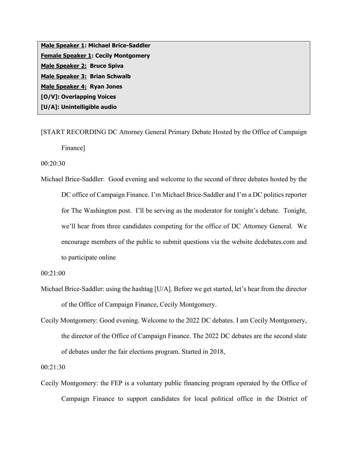**Male Speaker 1: Michael Brice-Saddler Female Speaker 1: Cecily Montgomery Male Speaker 2: Bruce Spiva Male Speaker 3: Brian Schwalb Male Speaker 4: Ryan Jones [O/V]: Overlapping Voices [U/A]: Unintelligible audio**

[START RECORDING DC Attorney General Primary Debate Hosted by the Office of Campaign Finance]

00:20:30

Michael Brice-Saddler: Good evening and welcome to the second of three debates hosted by the DC office of Campaign Finance. I'm Michael Brice-Saddler and I'm a DC politics reporter for The Washington post. I'll be serving as the moderator for tonight's debate. Tonight, we'll hear from three candidates competing for the office of DC Attorney General. We encourage members of the public to submit questions via the website dcdebates.com and to participate online

00:21:00

- Michael Brice-Saddler: using the hashtag [U/A]. Before we get started, let's hear from the director of the Office of Campaign Finance, Cecily Montgomery.
- Cecily Montgomery: Good evening. Welcome to the 2022 DC debates. I am Cecily Montgomery, the director of the Office of Campaign Finance. The 2022 DC debates are the second slate of debates under the fair elections program. Started in 2018,

00:21:30

Cecily Montgomery: the FEP is a voluntary public financing program operated by the Office of Campaign Finance to support candidates for local political office in the District of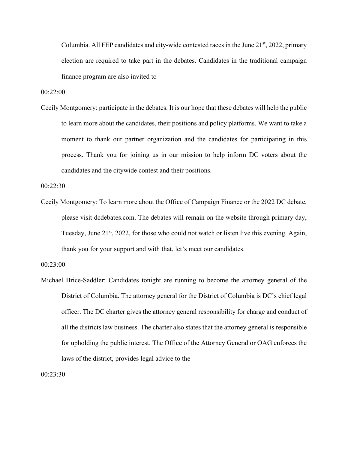Columbia. All FEP candidates and city-wide contested races in the June  $21<sup>st</sup>$ , 2022, primary election are required to take part in the debates. Candidates in the traditional campaign finance program are also invited to

00:22:00

Cecily Montgomery: participate in the debates. It is our hope that these debates will help the public to learn more about the candidates, their positions and policy platforms. We want to take a moment to thank our partner organization and the candidates for participating in this process. Thank you for joining us in our mission to help inform DC voters about the candidates and the citywide contest and their positions.

00:22:30

Cecily Montgomery: To learn more about the Office of Campaign Finance or the 2022 DC debate, please visit dcdebates.com. The debates will remain on the website through primary day, Tuesday, June  $21<sup>st</sup>$ , 2022, for those who could not watch or listen live this evening. Again, thank you for your support and with that, let's meet our candidates.

Michael Brice-Saddler: Candidates tonight are running to become the attorney general of the District of Columbia. The attorney general for the District of Columbia is DC's chief legal officer. The DC charter gives the attorney general responsibility for charge and conduct of all the districts law business. The charter also states that the attorney general is responsible for upholding the public interest. The Office of the Attorney General or OAG enforces the laws of the district, provides legal advice to the

00:23:30

<sup>00:23:00</sup>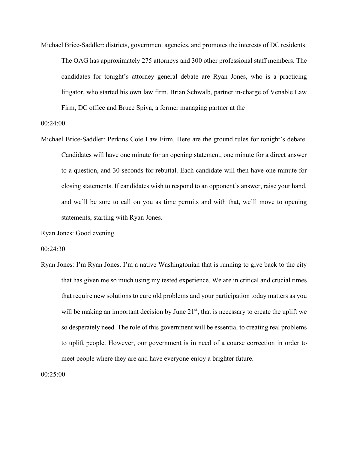Michael Brice-Saddler: districts, government agencies, and promotes the interests of DC residents. The OAG has approximately 275 attorneys and 300 other professional staff members. The candidates for tonight's attorney general debate are Ryan Jones, who is a practicing litigator, who started his own law firm. Brian Schwalb, partner in-charge of Venable Law Firm, DC office and Bruce Spiva, a former managing partner at the

00:24:00

Michael Brice-Saddler: Perkins Coie Law Firm. Here are the ground rules for tonight's debate. Candidates will have one minute for an opening statement, one minute for a direct answer to a question, and 30 seconds for rebuttal. Each candidate will then have one minute for closing statements. If candidates wish to respond to an opponent's answer, raise your hand, and we'll be sure to call on you as time permits and with that, we'll move to opening statements, starting with Ryan Jones.

Ryan Jones: Good evening.

00:24:30

Ryan Jones: I'm Ryan Jones. I'm a native Washingtonian that is running to give back to the city that has given me so much using my tested experience. We are in critical and crucial times that require new solutions to cure old problems and your participation today matters as you will be making an important decision by June  $21<sup>st</sup>$ , that is necessary to create the uplift we so desperately need. The role of this government will be essential to creating real problems to uplift people. However, our government is in need of a course correction in order to meet people where they are and have everyone enjoy a brighter future.

00:25:00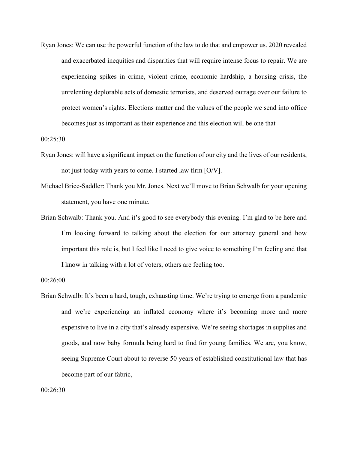Ryan Jones: We can use the powerful function of the law to do that and empower us. 2020 revealed and exacerbated inequities and disparities that will require intense focus to repair. We are experiencing spikes in crime, violent crime, economic hardship, a housing crisis, the unrelenting deplorable acts of domestic terrorists, and deserved outrage over our failure to protect women's rights. Elections matter and the values of the people we send into office becomes just as important as their experience and this election will be one that

00:25:30

- Ryan Jones: will have a significant impact on the function of our city and the lives of our residents, not just today with years to come. I started law firm [O/V].
- Michael Brice-Saddler: Thank you Mr. Jones. Next we'll move to Brian Schwalb for your opening statement, you have one minute.
- Brian Schwalb: Thank you. And it's good to see everybody this evening. I'm glad to be here and I'm looking forward to talking about the election for our attorney general and how important this role is, but I feel like I need to give voice to something I'm feeling and that I know in talking with a lot of voters, others are feeling too.

Brian Schwalb: It's been a hard, tough, exhausting time. We're trying to emerge from a pandemic and we're experiencing an inflated economy where it's becoming more and more expensive to live in a city that's already expensive. We're seeing shortages in supplies and goods, and now baby formula being hard to find for young families. We are, you know, seeing Supreme Court about to reverse 50 years of established constitutional law that has become part of our fabric,

<sup>00:26:00</sup>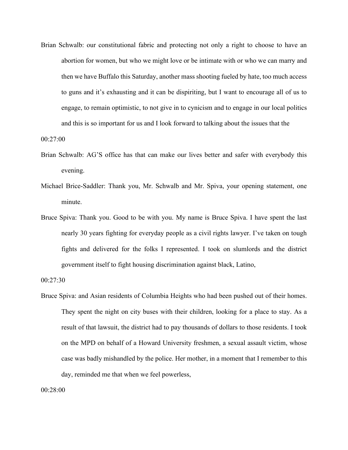Brian Schwalb: our constitutional fabric and protecting not only a right to choose to have an abortion for women, but who we might love or be intimate with or who we can marry and then we have Buffalo this Saturday, another mass shooting fueled by hate, too much access to guns and it's exhausting and it can be dispiriting, but I want to encourage all of us to engage, to remain optimistic, to not give in to cynicism and to engage in our local politics and this is so important for us and I look forward to talking about the issues that the

00:27:00

- Brian Schwalb: AG'S office has that can make our lives better and safer with everybody this evening.
- Michael Brice-Saddler: Thank you, Mr. Schwalb and Mr. Spiva, your opening statement, one minute.
- Bruce Spiva: Thank you. Good to be with you. My name is Bruce Spiva. I have spent the last nearly 30 years fighting for everyday people as a civil rights lawyer. I've taken on tough fights and delivered for the folks I represented. I took on slumlords and the district government itself to fight housing discrimination against black, Latino,

```
00:27:30
```
Bruce Spiva: and Asian residents of Columbia Heights who had been pushed out of their homes. They spent the night on city buses with their children, looking for a place to stay. As a result of that lawsuit, the district had to pay thousands of dollars to those residents. I took on the MPD on behalf of a Howard University freshmen, a sexual assault victim, whose case was badly mishandled by the police. Her mother, in a moment that I remember to this day, reminded me that when we feel powerless,

00:28:00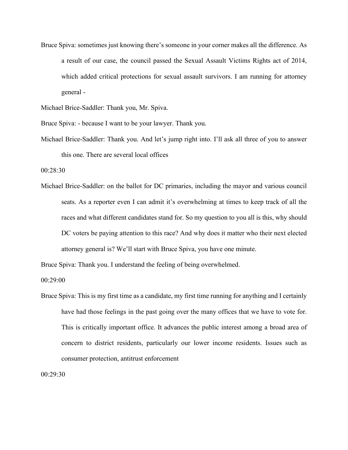Bruce Spiva: sometimes just knowing there's someone in your corner makes all the difference. As a result of our case, the council passed the Sexual Assault Victims Rights act of 2014, which added critical protections for sexual assault survivors. I am running for attorney general -

Michael Brice-Saddler: Thank you, Mr. Spiva.

Bruce Spiva: - because I want to be your lawyer. Thank you.

Michael Brice-Saddler: Thank you. And let's jump right into. I'll ask all three of you to answer this one. There are several local offices

00:28:30

Michael Brice-Saddler: on the ballot for DC primaries, including the mayor and various council seats. As a reporter even I can admit it's overwhelming at times to keep track of all the races and what different candidates stand for. So my question to you all is this, why should DC voters be paying attention to this race? And why does it matter who their next elected attorney general is? We'll start with Bruce Spiva, you have one minute.

Bruce Spiva: Thank you. I understand the feeling of being overwhelmed.

00:29:00

Bruce Spiva: This is my first time as a candidate, my first time running for anything and I certainly have had those feelings in the past going over the many offices that we have to vote for. This is critically important office. It advances the public interest among a broad area of concern to district residents, particularly our lower income residents. Issues such as consumer protection, antitrust enforcement

00:29:30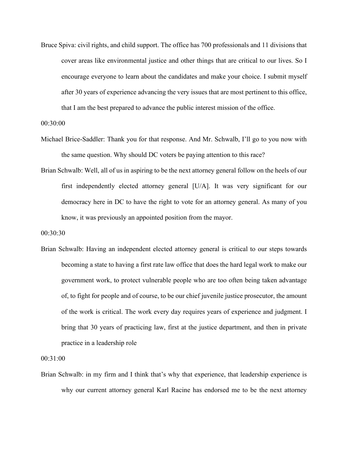Bruce Spiva: civil rights, and child support. The office has 700 professionals and 11 divisions that cover areas like environmental justice and other things that are critical to our lives. So I encourage everyone to learn about the candidates and make your choice. I submit myself after 30 years of experience advancing the very issues that are most pertinent to this office, that I am the best prepared to advance the public interest mission of the office.

00:30:00

- Michael Brice-Saddler: Thank you for that response. And Mr. Schwalb, I'll go to you now with the same question. Why should DC voters be paying attention to this race?
- Brian Schwalb: Well, all of us in aspiring to be the next attorney general follow on the heels of our first independently elected attorney general [U/A]. It was very significant for our democracy here in DC to have the right to vote for an attorney general. As many of you know, it was previously an appointed position from the mayor.

00:30:30

Brian Schwalb: Having an independent elected attorney general is critical to our steps towards becoming a state to having a first rate law office that does the hard legal work to make our government work, to protect vulnerable people who are too often being taken advantage of, to fight for people and of course, to be our chief juvenile justice prosecutor, the amount of the work is critical. The work every day requires years of experience and judgment. I bring that 30 years of practicing law, first at the justice department, and then in private practice in a leadership role

00:31:00

Brian Schwalb: in my firm and I think that's why that experience, that leadership experience is why our current attorney general Karl Racine has endorsed me to be the next attorney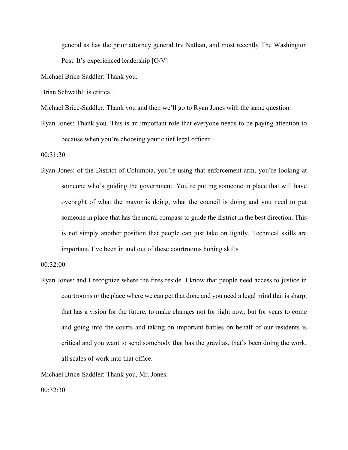general as has the prior attorney general Irv Nathan, and most recently The Washington Post. It's experienced leadership [O/V]

Michael Brice-Saddler: Thank you.

Brian Schwalbl: is critical.

Michael Brice-Saddler: Thank you and then we'll go to Ryan Jones with the same question.

Ryan Jones: Thank you. This is an important role that everyone needs to be paying attention to because when you're choosing your chief legal officer

00:31:30

Ryan Jones: of the District of Columbia, you're using that enforcement arm, you're looking at someone who's guiding the government. You're putting someone in place that will have oversight of what the mayor is doing, what the council is doing and you need to put someone in place that has the moral compass to guide the district in the best direction. This is not simply another position that people can just take on lightly. Technical skills are important. I've been in and out of these courtrooms honing skills

00:32:00

Ryan Jones: and I recognize where the fires reside. I know that people need access to justice in courtrooms or the place where we can get that done and you need a legal mind that is sharp, that has a vision for the future, to make changes not for right now, but for years to come and going into the courts and taking on important battles on behalf of our residents is critical and you want to send somebody that has the gravitas, that's been doing the work, all scales of work into that office.

Michael Brice-Saddler: Thank you, Mr. Jones.

00:32:30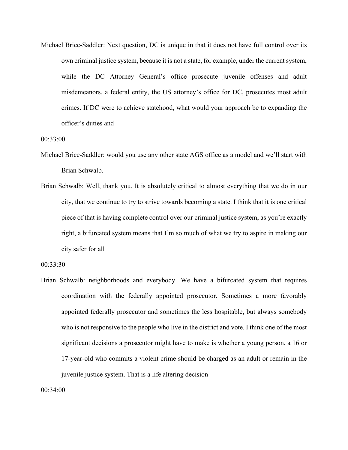Michael Brice-Saddler: Next question, DC is unique in that it does not have full control over its own criminal justice system, because it is not a state, for example, under the current system, while the DC Attorney General's office prosecute juvenile offenses and adult misdemeanors, a federal entity, the US attorney's office for DC, prosecutes most adult crimes. If DC were to achieve statehood, what would your approach be to expanding the officer's duties and

00:33:00

- Michael Brice-Saddler: would you use any other state AGS office as a model and we'll start with Brian Schwalb.
- Brian Schwalb: Well, thank you. It is absolutely critical to almost everything that we do in our city, that we continue to try to strive towards becoming a state. I think that it is one critical piece of that is having complete control over our criminal justice system, as you're exactly right, a bifurcated system means that I'm so much of what we try to aspire in making our city safer for all

00:33:30

Brian Schwalb: neighborhoods and everybody. We have a bifurcated system that requires coordination with the federally appointed prosecutor. Sometimes a more favorably appointed federally prosecutor and sometimes the less hospitable, but always somebody who is not responsive to the people who live in the district and vote. I think one of the most significant decisions a prosecutor might have to make is whether a young person, a 16 or 17-year-old who commits a violent crime should be charged as an adult or remain in the juvenile justice system. That is a life altering decision

00:34:00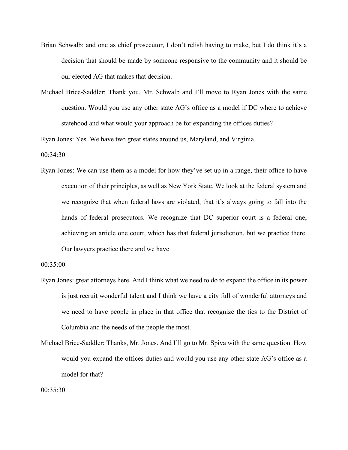- Brian Schwalb: and one as chief prosecutor, I don't relish having to make, but I do think it's a decision that should be made by someone responsive to the community and it should be our elected AG that makes that decision.
- Michael Brice-Saddler: Thank you, Mr. Schwalb and I'll move to Ryan Jones with the same question. Would you use any other state AG's office as a model if DC where to achieve statehood and what would your approach be for expanding the offices duties?

Ryan Jones: Yes. We have two great states around us, Maryland, and Virginia.

 $00:34:30$ 

Ryan Jones: We can use them as a model for how they've set up in a range, their office to have execution of their principles, as well as New York State. We look at the federal system and we recognize that when federal laws are violated, that it's always going to fall into the hands of federal prosecutors. We recognize that DC superior court is a federal one, achieving an article one court, which has that federal jurisdiction, but we practice there. Our lawyers practice there and we have

00:35:00

- Ryan Jones: great attorneys here. And I think what we need to do to expand the office in its power is just recruit wonderful talent and I think we have a city full of wonderful attorneys and we need to have people in place in that office that recognize the ties to the District of Columbia and the needs of the people the most.
- Michael Brice-Saddler: Thanks, Mr. Jones. And I'll go to Mr. Spiva with the same question. How would you expand the offices duties and would you use any other state AG's office as a model for that?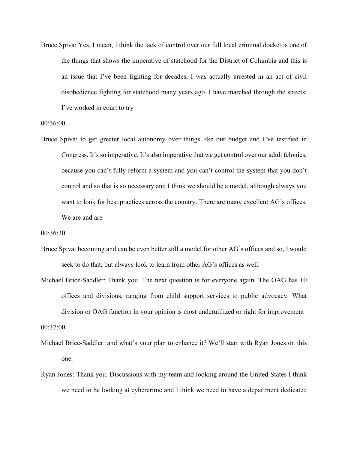Bruce Spiva: Yes. I mean, I think the lack of control over our full local criminal docket is one of the things that shows the imperative of statehood for the District of Columbia and this is an issue that I've been fighting for decades, I was actually arrested in an act of civil disobedience fighting for statehood many years ago. I have marched through the streets; I've worked in court to try

## 00:36:00

Bruce Spiva: to get greater local autonomy over things like our budget and I've testified in Congress. It's so imperative. It's also imperative that we get control over our adult felonies, because you can't fully reform a system and you can't control the system that you don't control and so that is so necessary and I think we should be a model, although always you want to look for best practices across the country. There are many excellent AG's offices. We are and are

## 00:36:30

- Bruce Spiva: becoming and can be even better still a model for other AG's offices and so, I would seek to do that, but always look to learn from other AG's offices as well.
- Michael Brice-Saddler: Thank you. The next question is for everyone again. The OAG has 10 offices and divisions, ranging from child support services to public advocacy. What division or OAG function in your opinion is most underutilized or right for improvement

00:37:00

- Michael Brice-Saddler: and what's your plan to enhance it? We'll start with Ryan Jones on this one.
- Ryan Jones: Thank you. Discussions with my team and looking around the United States I think we need to be looking at cybercrime and I think we need to have a department dedicated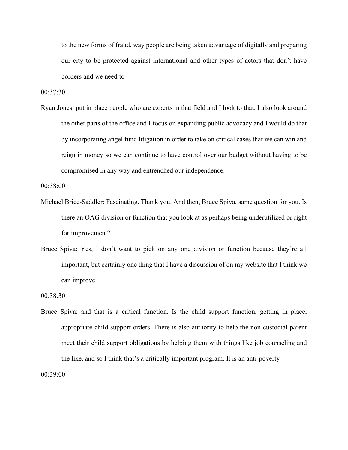to the new forms of fraud, way people are being taken advantage of digitally and preparing our city to be protected against international and other types of actors that don't have borders and we need to

00:37:30

Ryan Jones: put in place people who are experts in that field and I look to that. I also look around the other parts of the office and I focus on expanding public advocacy and I would do that by incorporating angel fund litigation in order to take on critical cases that we can win and reign in money so we can continue to have control over our budget without having to be compromised in any way and entrenched our independence.

00:38:00

- Michael Brice-Saddler: Fascinating. Thank you. And then, Bruce Spiva, same question for you. Is there an OAG division or function that you look at as perhaps being underutilized or right for improvement?
- Bruce Spiva: Yes, I don't want to pick on any one division or function because they're all important, but certainly one thing that I have a discussion of on my website that I think we can improve

00:38:30

Bruce Spiva: and that is a critical function. Is the child support function, getting in place, appropriate child support orders. There is also authority to help the non-custodial parent meet their child support obligations by helping them with things like job counseling and the like, and so I think that's a critically important program. It is an anti-poverty

00:39:00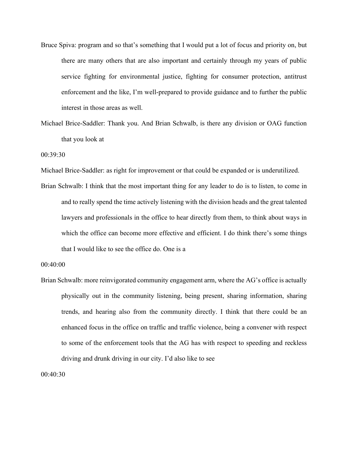- Bruce Spiva: program and so that's something that I would put a lot of focus and priority on, but there are many others that are also important and certainly through my years of public service fighting for environmental justice, fighting for consumer protection, antitrust enforcement and the like, I'm well-prepared to provide guidance and to further the public interest in those areas as well.
- Michael Brice-Saddler: Thank you. And Brian Schwalb, is there any division or OAG function that you look at

00:39:30

Michael Brice-Saddler: as right for improvement or that could be expanded or is underutilized.

Brian Schwalb: I think that the most important thing for any leader to do is to listen, to come in and to really spend the time actively listening with the division heads and the great talented lawyers and professionals in the office to hear directly from them, to think about ways in which the office can become more effective and efficient. I do think there's some things that I would like to see the office do. One is a

00:40:00

Brian Schwalb: more reinvigorated community engagement arm, where the AG's office is actually physically out in the community listening, being present, sharing information, sharing trends, and hearing also from the community directly. I think that there could be an enhanced focus in the office on traffic and traffic violence, being a convener with respect to some of the enforcement tools that the AG has with respect to speeding and reckless driving and drunk driving in our city. I'd also like to see

00:40:30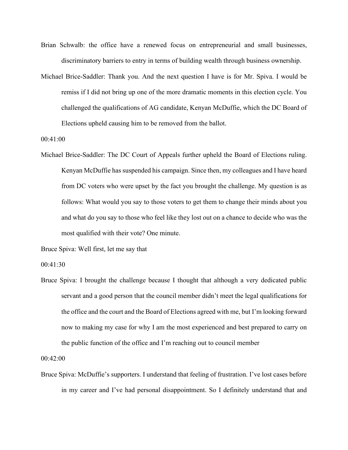- Brian Schwalb: the office have a renewed focus on entrepreneurial and small businesses, discriminatory barriers to entry in terms of building wealth through business ownership.
- Michael Brice-Saddler: Thank you. And the next question I have is for Mr. Spiva. I would be remiss if I did not bring up one of the more dramatic moments in this election cycle. You challenged the qualifications of AG candidate, Kenyan McDuffie, which the DC Board of Elections upheld causing him to be removed from the ballot.

00:41:00

Michael Brice-Saddler: The DC Court of Appeals further upheld the Board of Elections ruling. Kenyan McDuffie has suspended his campaign. Since then, my colleagues and I have heard from DC voters who were upset by the fact you brought the challenge. My question is as follows: What would you say to those voters to get them to change their minds about you and what do you say to those who feel like they lost out on a chance to decide who was the most qualified with their vote? One minute.

Bruce Spiva: Well first, let me say that

00:41:30

Bruce Spiva: I brought the challenge because I thought that although a very dedicated public servant and a good person that the council member didn't meet the legal qualifications for the office and the court and the Board of Elections agreed with me, but I'm looking forward now to making my case for why I am the most experienced and best prepared to carry on the public function of the office and I'm reaching out to council member

00:42:00

Bruce Spiva: McDuffie's supporters. I understand that feeling of frustration. I've lost cases before in my career and I've had personal disappointment. So I definitely understand that and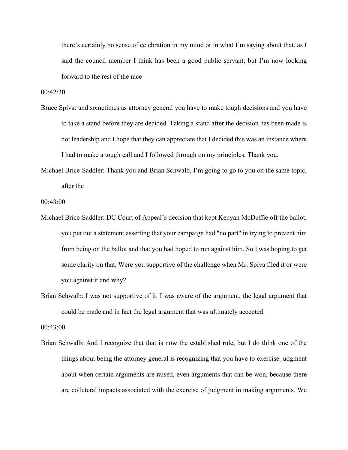there's certainly no sense of celebration in my mind or in what I'm saying about that, as I said the council member I think has been a good public servant, but I'm now looking forward to the rest of the race

 $00:42:30$ 

- Bruce Spiva: and sometimes as attorney general you have to make tough decisions and you have to take a stand before they are decided. Taking a stand after the decision has been made is not leadership and I hope that they can appreciate that I decided this was an instance where I had to make a tough call and I followed through on my principles. Thank you.
- Michael Brice-Saddler: Thank you and Brian Schwalb, I'm going to go to you on the same topic, after the

00:43:00

- Michael Brice-Saddler: DC Court of Appeal's decision that kept Kenyan McDuffie off the ballot, you put out a statement asserting that your campaign had "no part" in trying to prevent him from being on the ballot and that you had hoped to run against him. So I was hoping to get some clarity on that. Were you supportive of the challenge when Mr. Spiva filed it or were you against it and why?
- Brian Schwalb: I was not supportive of it. I was aware of the argument, the legal argument that could be made and in fact the legal argument that was ultimately accepted.

00:43:00

Brian Schwalb: And I recognize that that is now the established rule, but I do think one of the things about being the attorney general is recognizing that you have to exercise judgment about when certain arguments are raised, even arguments that can be won, because there are collateral impacts associated with the exercise of judgment in making arguments. We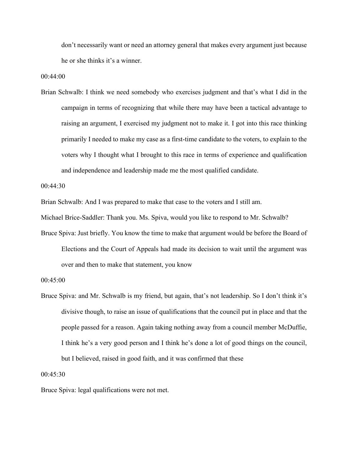don't necessarily want or need an attorney general that makes every argument just because he or she thinks it's a winner.

00:44:00

Brian Schwalb: I think we need somebody who exercises judgment and that's what I did in the campaign in terms of recognizing that while there may have been a tactical advantage to raising an argument, I exercised my judgment not to make it. I got into this race thinking primarily I needed to make my case as a first-time candidate to the voters, to explain to the voters why I thought what I brought to this race in terms of experience and qualification and independence and leadership made me the most qualified candidate.

00:44:30

Brian Schwalb: And I was prepared to make that case to the voters and I still am.

Michael Brice-Saddler: Thank you. Ms. Spiva, would you like to respond to Mr. Schwalb?

Bruce Spiva: Just briefly. You know the time to make that argument would be before the Board of Elections and the Court of Appeals had made its decision to wait until the argument was over and then to make that statement, you know

Bruce Spiva: and Mr. Schwalb is my friend, but again, that's not leadership. So I don't think it's divisive though, to raise an issue of qualifications that the council put in place and that the people passed for a reason. Again taking nothing away from a council member McDuffie, I think he's a very good person and I think he's done a lot of good things on the council, but I believed, raised in good faith, and it was confirmed that these

00:45:30

Bruce Spiva: legal qualifications were not met.

<sup>00:45:00</sup>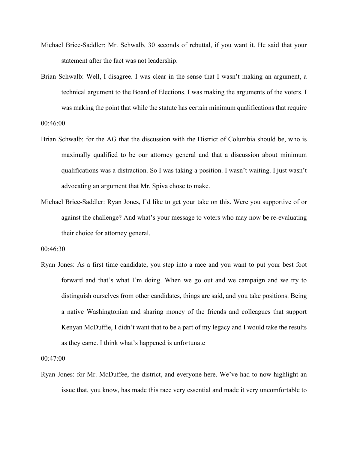- Michael Brice-Saddler: Mr. Schwalb, 30 seconds of rebuttal, if you want it. He said that your statement after the fact was not leadership.
- Brian Schwalb: Well, I disagree. I was clear in the sense that I wasn't making an argument, a technical argument to the Board of Elections. I was making the arguments of the voters. I was making the point that while the statute has certain minimum qualifications that require

00:46:00

- Brian Schwalb: for the AG that the discussion with the District of Columbia should be, who is maximally qualified to be our attorney general and that a discussion about minimum qualifications was a distraction. So I was taking a position. I wasn't waiting. I just wasn't advocating an argument that Mr. Spiva chose to make.
- Michael Brice-Saddler: Ryan Jones, I'd like to get your take on this. Were you supportive of or against the challenge? And what's your message to voters who may now be re-evaluating their choice for attorney general.

00:46:30

Ryan Jones: As a first time candidate, you step into a race and you want to put your best foot forward and that's what I'm doing. When we go out and we campaign and we try to distinguish ourselves from other candidates, things are said, and you take positions. Being a native Washingtonian and sharing money of the friends and colleagues that support Kenyan McDuffie, I didn't want that to be a part of my legacy and I would take the results as they came. I think what's happened is unfortunate

00:47:00

Ryan Jones: for Mr. McDuffee, the district, and everyone here. We've had to now highlight an issue that, you know, has made this race very essential and made it very uncomfortable to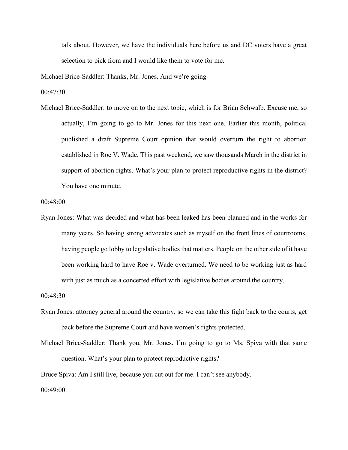talk about. However, we have the individuals here before us and DC voters have a great selection to pick from and I would like them to vote for me.

Michael Brice-Saddler: Thanks, Mr. Jones. And we're going

00:47:30

Michael Brice-Saddler: to move on to the next topic, which is for Brian Schwalb. Excuse me, so actually, I'm going to go to Mr. Jones for this next one. Earlier this month, political published a draft Supreme Court opinion that would overturn the right to abortion established in Roe V. Wade. This past weekend, we saw thousands March in the district in support of abortion rights. What's your plan to protect reproductive rights in the district? You have one minute.

00:48:00

Ryan Jones: What was decided and what has been leaked has been planned and in the works for many years. So having strong advocates such as myself on the front lines of courtrooms, having people go lobby to legislative bodies that matters. People on the other side of it have been working hard to have Roe v. Wade overturned. We need to be working just as hard with just as much as a concerted effort with legislative bodies around the country,

00:48:30

- Ryan Jones: attorney general around the country, so we can take this fight back to the courts, get back before the Supreme Court and have women's rights protected.
- Michael Brice-Saddler: Thank you, Mr. Jones. I'm going to go to Ms. Spiva with that same question. What's your plan to protect reproductive rights?

Bruce Spiva: Am I still live, because you cut out for me. I can't see anybody.

00:49:00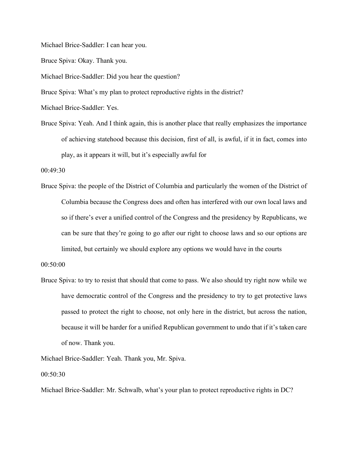Michael Brice-Saddler: I can hear you.

Bruce Spiva: Okay. Thank you.

Michael Brice-Saddler: Did you hear the question?

Bruce Spiva: What's my plan to protect reproductive rights in the district?

Michael Brice-Saddler: Yes.

Bruce Spiva: Yeah. And I think again, this is another place that really emphasizes the importance of achieving statehood because this decision, first of all, is awful, if it in fact, comes into play, as it appears it will, but it's especially awful for

00:49:30

Bruce Spiva: the people of the District of Columbia and particularly the women of the District of Columbia because the Congress does and often has interfered with our own local laws and so if there's ever a unified control of the Congress and the presidency by Republicans, we can be sure that they're going to go after our right to choose laws and so our options are limited, but certainly we should explore any options we would have in the courts

00:50:00

Bruce Spiva: to try to resist that should that come to pass. We also should try right now while we have democratic control of the Congress and the presidency to try to get protective laws passed to protect the right to choose, not only here in the district, but across the nation, because it will be harder for a unified Republican government to undo that if it's taken care of now. Thank you.

Michael Brice-Saddler: Yeah. Thank you, Mr. Spiva.

00:50:30

Michael Brice-Saddler: Mr. Schwalb, what's your plan to protect reproductive rights in DC?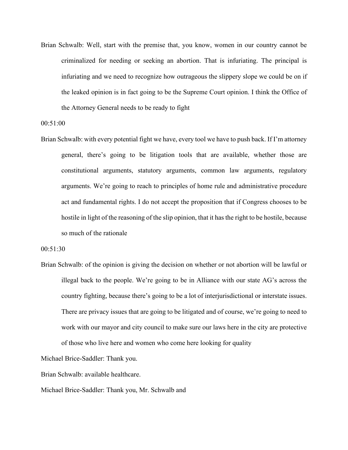Brian Schwalb: Well, start with the premise that, you know, women in our country cannot be criminalized for needing or seeking an abortion. That is infuriating. The principal is infuriating and we need to recognize how outrageous the slippery slope we could be on if the leaked opinion is in fact going to be the Supreme Court opinion. I think the Office of the Attorney General needs to be ready to fight

00:51:00

Brian Schwalb: with every potential fight we have, every tool we have to push back. If I'm attorney general, there's going to be litigation tools that are available, whether those are constitutional arguments, statutory arguments, common law arguments, regulatory arguments. We're going to reach to principles of home rule and administrative procedure act and fundamental rights. I do not accept the proposition that if Congress chooses to be hostile in light of the reasoning of the slip opinion, that it has the right to be hostile, because so much of the rationale

00:51:30

Brian Schwalb: of the opinion is giving the decision on whether or not abortion will be lawful or illegal back to the people. We're going to be in Alliance with our state AG's across the country fighting, because there's going to be a lot of interjurisdictional or interstate issues. There are privacy issues that are going to be litigated and of course, we're going to need to work with our mayor and city council to make sure our laws here in the city are protective of those who live here and women who come here looking for quality

Michael Brice-Saddler: Thank you.

Brian Schwalb: available healthcare.

Michael Brice-Saddler: Thank you, Mr. Schwalb and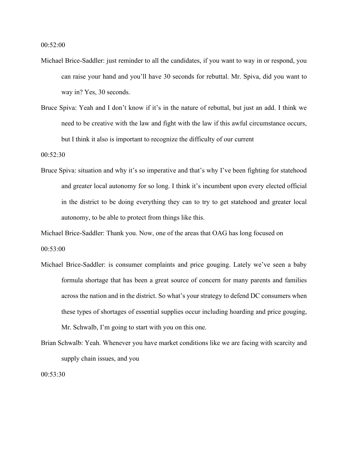00:52:00

- Michael Brice-Saddler: just reminder to all the candidates, if you want to way in or respond, you can raise your hand and you'll have 30 seconds for rebuttal. Mr. Spiva, did you want to way in? Yes, 30 seconds.
- Bruce Spiva: Yeah and I don't know if it's in the nature of rebuttal, but just an add. I think we need to be creative with the law and fight with the law if this awful circumstance occurs, but I think it also is important to recognize the difficulty of our current

00:52:30

Bruce Spiva: situation and why it's so imperative and that's why I've been fighting for statehood and greater local autonomy for so long. I think it's incumbent upon every elected official in the district to be doing everything they can to try to get statehood and greater local autonomy, to be able to protect from things like this.

Michael Brice-Saddler: Thank you. Now, one of the areas that OAG has long focused on

00:53:00

- Michael Brice-Saddler: is consumer complaints and price gouging. Lately we've seen a baby formula shortage that has been a great source of concern for many parents and families across the nation and in the district. So what's your strategy to defend DC consumers when these types of shortages of essential supplies occur including hoarding and price gouging, Mr. Schwalb, I'm going to start with you on this one.
- Brian Schwalb: Yeah. Whenever you have market conditions like we are facing with scarcity and supply chain issues, and you

00:53:30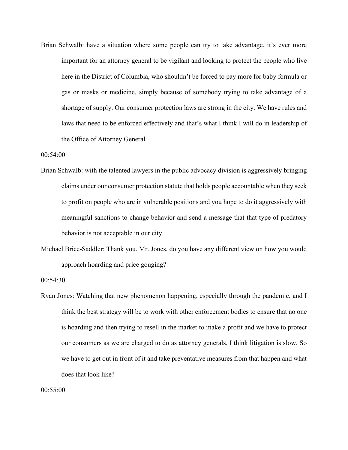Brian Schwalb: have a situation where some people can try to take advantage, it's ever more important for an attorney general to be vigilant and looking to protect the people who live here in the District of Columbia, who shouldn't be forced to pay more for baby formula or gas or masks or medicine, simply because of somebody trying to take advantage of a shortage of supply. Our consumer protection laws are strong in the city. We have rules and laws that need to be enforced effectively and that's what I think I will do in leadership of the Office of Attorney General

00:54:00

- Brian Schwalb: with the talented lawyers in the public advocacy division is aggressively bringing claims under our consumer protection statute that holds people accountable when they seek to profit on people who are in vulnerable positions and you hope to do it aggressively with meaningful sanctions to change behavior and send a message that that type of predatory behavior is not acceptable in our city.
- Michael Brice-Saddler: Thank you. Mr. Jones, do you have any different view on how you would approach hoarding and price gouging?

00:54:30

Ryan Jones: Watching that new phenomenon happening, especially through the pandemic, and I think the best strategy will be to work with other enforcement bodies to ensure that no one is hoarding and then trying to resell in the market to make a profit and we have to protect our consumers as we are charged to do as attorney generals. I think litigation is slow. So we have to get out in front of it and take preventative measures from that happen and what does that look like?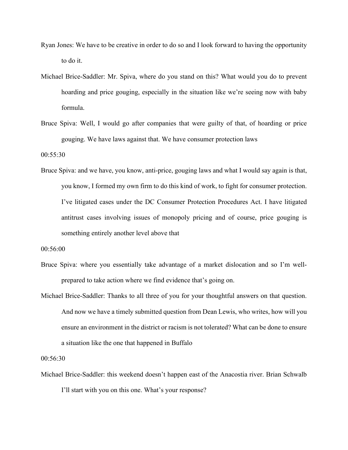- Ryan Jones: We have to be creative in order to do so and I look forward to having the opportunity to do it.
- Michael Brice-Saddler: Mr. Spiva, where do you stand on this? What would you do to prevent hoarding and price gouging, especially in the situation like we're seeing now with baby formula.
- Bruce Spiva: Well, I would go after companies that were guilty of that, of hoarding or price gouging. We have laws against that. We have consumer protection laws

00:55:30

Bruce Spiva: and we have, you know, anti-price, gouging laws and what I would say again is that, you know, I formed my own firm to do this kind of work, to fight for consumer protection. I've litigated cases under the DC Consumer Protection Procedures Act. I have litigated antitrust cases involving issues of monopoly pricing and of course, price gouging is something entirely another level above that

00:56:00

- Bruce Spiva: where you essentially take advantage of a market dislocation and so I'm wellprepared to take action where we find evidence that's going on.
- Michael Brice-Saddler: Thanks to all three of you for your thoughtful answers on that question. And now we have a timely submitted question from Dean Lewis, who writes, how will you ensure an environment in the district or racism is not tolerated? What can be done to ensure a situation like the one that happened in Buffalo

00:56:30

Michael Brice-Saddler: this weekend doesn't happen east of the Anacostia river. Brian Schwalb I'll start with you on this one. What's your response?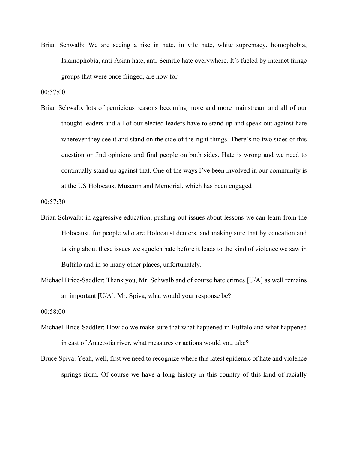Brian Schwalb: We are seeing a rise in hate, in vile hate, white supremacy, homophobia, Islamophobia, anti-Asian hate, anti-Semitic hate everywhere. It's fueled by internet fringe groups that were once fringed, are now for

00:57:00

Brian Schwalb: lots of pernicious reasons becoming more and more mainstream and all of our thought leaders and all of our elected leaders have to stand up and speak out against hate wherever they see it and stand on the side of the right things. There's no two sides of this question or find opinions and find people on both sides. Hate is wrong and we need to continually stand up against that. One of the ways I've been involved in our community is at the US Holocaust Museum and Memorial, which has been engaged

00:57:30

- Brian Schwalb: in aggressive education, pushing out issues about lessons we can learn from the Holocaust, for people who are Holocaust deniers, and making sure that by education and talking about these issues we squelch hate before it leads to the kind of violence we saw in Buffalo and in so many other places, unfortunately.
- Michael Brice-Saddler: Thank you, Mr. Schwalb and of course hate crimes [U/A] as well remains an important [U/A]. Mr. Spiva, what would your response be?

00:58:00

- Michael Brice-Saddler: How do we make sure that what happened in Buffalo and what happened in east of Anacostia river, what measures or actions would you take?
- Bruce Spiva: Yeah, well, first we need to recognize where this latest epidemic of hate and violence springs from. Of course we have a long history in this country of this kind of racially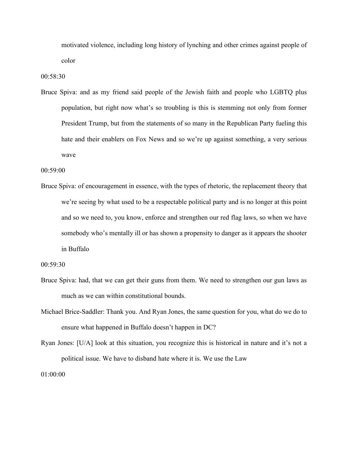motivated violence, including long history of lynching and other crimes against people of color

00:58:30

Bruce Spiva: and as my friend said people of the Jewish faith and people who LGBTQ plus population, but right now what's so troubling is this is stemming not only from former President Trump, but from the statements of so many in the Republican Party fueling this hate and their enablers on Fox News and so we're up against something, a very serious wave

00:59:00

Bruce Spiva: of encouragement in essence, with the types of rhetoric, the replacement theory that we're seeing by what used to be a respectable political party and is no longer at this point and so we need to, you know, enforce and strengthen our red flag laws, so when we have somebody who's mentally ill or has shown a propensity to danger as it appears the shooter in Buffalo

00:59:30

- Bruce Spiva: had, that we can get their guns from them. We need to strengthen our gun laws as much as we can within constitutional bounds.
- Michael Brice-Saddler: Thank you. And Ryan Jones, the same question for you, what do we do to ensure what happened in Buffalo doesn't happen in DC?
- Ryan Jones: [U/A] look at this situation, you recognize this is historical in nature and it's not a political issue. We have to disband hate where it is. We use the Law

01:00:00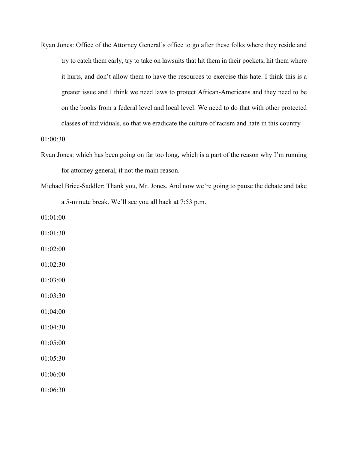Ryan Jones: Office of the Attorney General's office to go after these folks where they reside and try to catch them early, try to take on lawsuits that hit them in their pockets, hit them where it hurts, and don't allow them to have the resources to exercise this hate. I think this is a greater issue and I think we need laws to protect African-Americans and they need to be on the books from a federal level and local level. We need to do that with other protected classes of individuals, so that we eradicate the culture of racism and hate in this country

01:00:30

- Ryan Jones: which has been going on far too long, which is a part of the reason why I'm running for attorney general, if not the main reason.
- Michael Brice-Saddler: Thank you, Mr. Jones. And now we're going to pause the debate and take a 5-minute break. We'll see you all back at 7:53 p.m.

01:01:00

- 01:01:30
- 01:02:00
- 01:02:30
- 01:03:00

01:03:30

- 01:04:00
- 01:04:30
- 01:05:00
- 01:05:30
- 01:06:00

01:06:30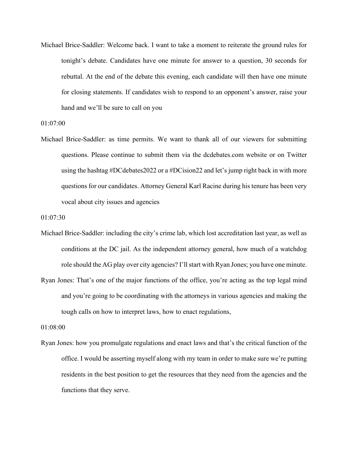Michael Brice-Saddler: Welcome back. I want to take a moment to reiterate the ground rules for tonight's debate. Candidates have one minute for answer to a question, 30 seconds for rebuttal. At the end of the debate this evening, each candidate will then have one minute for closing statements. If candidates wish to respond to an opponent's answer, raise your hand and we'll be sure to call on you

01:07:00

Michael Brice-Saddler: as time permits. We want to thank all of our viewers for submitting questions. Please continue to submit them via the dcdebates.com website or on Twitter using the hashtag #DCdebates2022 or a #DCision22 and let's jump right back in with more questions for our candidates. Attorney General Karl Racine during his tenure has been very vocal about city issues and agencies

01:07:30

- Michael Brice-Saddler: including the city's crime lab, which lost accreditation last year, as well as conditions at the DC jail. As the independent attorney general, how much of a watchdog role should the AG play over city agencies? I'll start with Ryan Jones; you have one minute.
- Ryan Jones: That's one of the major functions of the office, you're acting as the top legal mind and you're going to be coordinating with the attorneys in various agencies and making the tough calls on how to interpret laws, how to enact regulations,

01:08:00

Ryan Jones: how you promulgate regulations and enact laws and that's the critical function of the office. I would be asserting myself along with my team in order to make sure we're putting residents in the best position to get the resources that they need from the agencies and the functions that they serve.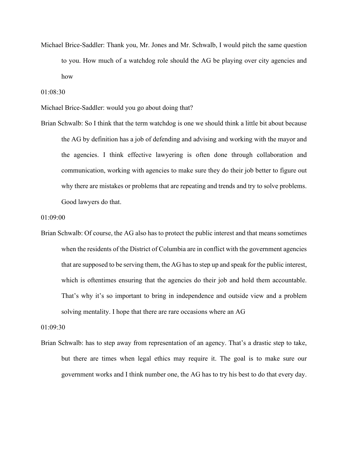Michael Brice-Saddler: Thank you, Mr. Jones and Mr. Schwalb, I would pitch the same question to you. How much of a watchdog role should the AG be playing over city agencies and how

01:08:30

Michael Brice-Saddler: would you go about doing that?

Brian Schwalb: So I think that the term watchdog is one we should think a little bit about because the AG by definition has a job of defending and advising and working with the mayor and the agencies. I think effective lawyering is often done through collaboration and communication, working with agencies to make sure they do their job better to figure out why there are mistakes or problems that are repeating and trends and try to solve problems. Good lawyers do that.

01:09:00

Brian Schwalb: Of course, the AG also has to protect the public interest and that means sometimes when the residents of the District of Columbia are in conflict with the government agencies that are supposed to be serving them, the AG has to step up and speak for the public interest, which is oftentimes ensuring that the agencies do their job and hold them accountable. That's why it's so important to bring in independence and outside view and a problem solving mentality. I hope that there are rare occasions where an AG

01:09:30

Brian Schwalb: has to step away from representation of an agency. That's a drastic step to take, but there are times when legal ethics may require it. The goal is to make sure our government works and I think number one, the AG has to try his best to do that every day.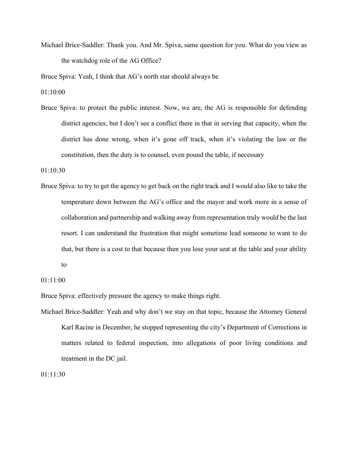Michael Brice-Saddler: Thank you. And Mr. Spiva, same question for you. What do you view as the watchdog role of the AG Office?

Bruce Spiva: Yeah, I think that AG's north star should always be

01:10:00

Bruce Spiva: to protect the public interest. Now, we are, the AG is responsible for defending district agencies, but I don't see a conflict there in that in serving that capacity, when the district has done wrong, when it's gone off track, when it's violating the law or the constitution, then the duty is to counsel, even pound the table, if necessary

01:10:30

Bruce Spiva: to try to get the agency to get back on the right track and I would also like to take the temperature down between the AG's office and the mayor and work more in a sense of collaboration and partnership and walking away from representation truly would be the last resort. I can understand the frustration that might sometime lead someone to want to do that, but there is a cost to that because then you lose your seat at the table and your ability to

01:11:00

Bruce Spiva: effectively pressure the agency to make things right.

Michael Brice-Saddler: Yeah and why don't we stay on that topic, because the Attorney General Karl Racine in December, he stopped representing the city's Department of Corrections in matters related to federal inspection, into allegations of poor living conditions and treatment in the DC jail.

01:11:30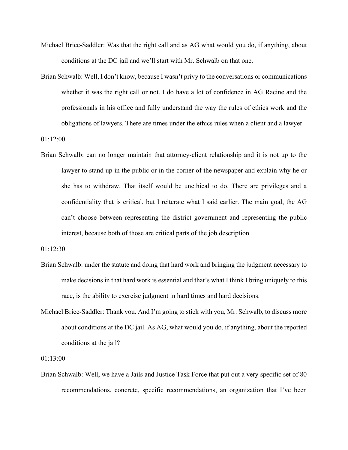- Michael Brice-Saddler: Was that the right call and as AG what would you do, if anything, about conditions at the DC jail and we'll start with Mr. Schwalb on that one.
- Brian Schwalb: Well, I don't know, because I wasn't privy to the conversations or communications whether it was the right call or not. I do have a lot of confidence in AG Racine and the professionals in his office and fully understand the way the rules of ethics work and the obligations of lawyers. There are times under the ethics rules when a client and a lawyer

01:12:00

Brian Schwalb: can no longer maintain that attorney-client relationship and it is not up to the lawyer to stand up in the public or in the corner of the newspaper and explain why he or she has to withdraw. That itself would be unethical to do. There are privileges and a confidentiality that is critical, but I reiterate what I said earlier. The main goal, the AG can't choose between representing the district government and representing the public interest, because both of those are critical parts of the job description

01:12:30

- Brian Schwalb: under the statute and doing that hard work and bringing the judgment necessary to make decisions in that hard work is essential and that's what I think I bring uniquely to this race, is the ability to exercise judgment in hard times and hard decisions.
- Michael Brice-Saddler: Thank you. And I'm going to stick with you, Mr. Schwalb, to discuss more about conditions at the DC jail. As AG, what would you do, if anything, about the reported conditions at the jail?

01:13:00

Brian Schwalb: Well, we have a Jails and Justice Task Force that put out a very specific set of 80 recommendations, concrete, specific recommendations, an organization that I've been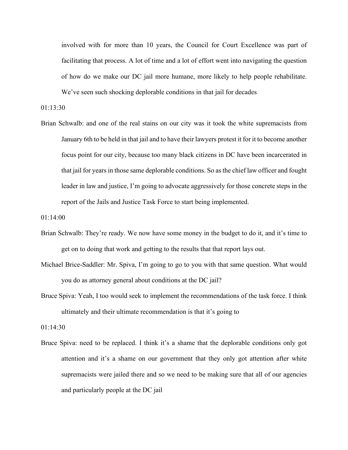involved with for more than 10 years, the Council for Court Excellence was part of facilitating that process. A lot of time and a lot of effort went into navigating the question of how do we make our DC jail more humane, more likely to help people rehabilitate. We've seen such shocking deplorable conditions in that jail for decades

01:13:30

Brian Schwalb: and one of the real stains on our city was it took the white supremacists from January 6th to be held in that jail and to have their lawyers protest it for it to become another focus point for our city, because too many black citizens in DC have been incarcerated in that jail for years in those same deplorable conditions. So as the chief law officer and fought leader in law and justice, I'm going to advocate aggressively for those concrete steps in the report of the Jails and Justice Task Force to start being implemented.

01:14:00

- Brian Schwalb: They're ready. We now have some money in the budget to do it, and it's time to get on to doing that work and getting to the results that that report lays out.
- Michael Brice-Saddler: Mr. Spiva, I'm going to go to you with that same question. What would you do as attorney general about conditions at the DC jail?
- Bruce Spiva: Yeah, I too would seek to implement the recommendations of the task force. I think ultimately and their ultimate recommendation is that it's going to

01:14:30

Bruce Spiva: need to be replaced. I think it's a shame that the deplorable conditions only got attention and it's a shame on our government that they only got attention after white supremacists were jailed there and so we need to be making sure that all of our agencies and particularly people at the DC jail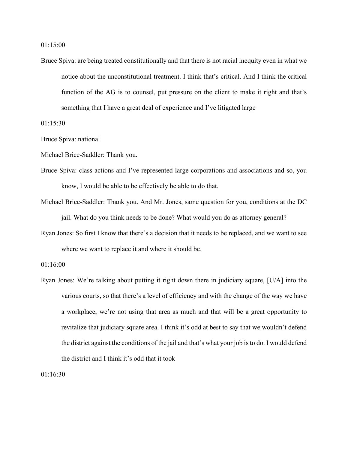Bruce Spiva: are being treated constitutionally and that there is not racial inequity even in what we notice about the unconstitutional treatment. I think that's critical. And I think the critical function of the AG is to counsel, put pressure on the client to make it right and that's something that I have a great deal of experience and I've litigated large

01:15:30

Bruce Spiva: national

Michael Brice-Saddler: Thank you.

- Bruce Spiva: class actions and I've represented large corporations and associations and so, you know, I would be able to be effectively be able to do that.
- Michael Brice-Saddler: Thank you. And Mr. Jones, same question for you, conditions at the DC jail. What do you think needs to be done? What would you do as attorney general?
- Ryan Jones: So first I know that there's a decision that it needs to be replaced, and we want to see where we want to replace it and where it should be.

01:16:00

Ryan Jones: We're talking about putting it right down there in judiciary square, [U/A] into the various courts, so that there's a level of efficiency and with the change of the way we have a workplace, we're not using that area as much and that will be a great opportunity to revitalize that judiciary square area. I think it's odd at best to say that we wouldn't defend the district against the conditions of the jail and that's what your job is to do. I would defend the district and I think it's odd that it took

01:16:30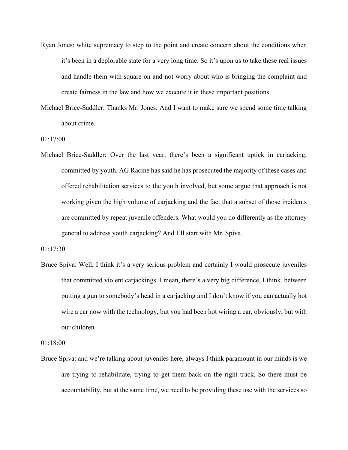- Ryan Jones: white supremacy to step to the point and create concern about the conditions when it's been in a deplorable state for a very long time. So it's upon us to take these real issues and handle them with square on and not worry about who is bringing the complaint and create fairness in the law and how we execute it in these important positions.
- Michael Brice-Saddler: Thanks Mr. Jones. And I want to make sure we spend some time talking about crime.

01:17:00

Michael Brice-Saddler: Over the last year, there's been a significant uptick in carjacking, committed by youth. AG Racine has said he has prosecuted the majority of these cases and offered rehabilitation services to the youth involved, but some argue that approach is not working given the high volume of carjacking and the fact that a subset of those incidents are committed by repeat juvenile offenders. What would you do differently as the attorney general to address youth carjacking? And I'll start with Mr. Spiva.

01:17:30

Bruce Spiva: Well, I think it's a very serious problem and certainly I would prosecute juveniles that committed violent carjackings. I mean, there's a very big difference, I think, between putting a gun to somebody's head in a carjacking and I don't know if you can actually hot wire a car now with the technology, but you had been hot wiring a car, obviously, but with our children

01:18:00

Bruce Spiva: and we're talking about juveniles here, always I think paramount in our minds is we are trying to rehabilitate, trying to get them back on the right track. So there must be accountability, but at the same time, we need to be providing these use with the services so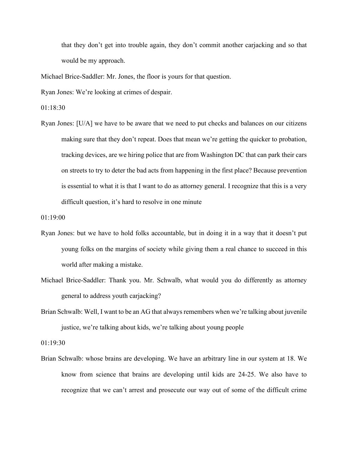that they don't get into trouble again, they don't commit another carjacking and so that would be my approach.

Michael Brice-Saddler: Mr. Jones, the floor is yours for that question.

Ryan Jones: We're looking at crimes of despair.

01:18:30

Ryan Jones: [U/A] we have to be aware that we need to put checks and balances on our citizens making sure that they don't repeat. Does that mean we're getting the quicker to probation, tracking devices, are we hiring police that are from Washington DC that can park their cars on streets to try to deter the bad acts from happening in the first place? Because prevention is essential to what it is that I want to do as attorney general. I recognize that this is a very difficult question, it's hard to resolve in one minute

01:19:00

- Ryan Jones: but we have to hold folks accountable, but in doing it in a way that it doesn't put young folks on the margins of society while giving them a real chance to succeed in this world after making a mistake.
- Michael Brice-Saddler: Thank you. Mr. Schwalb, what would you do differently as attorney general to address youth carjacking?
- Brian Schwalb: Well, I want to be an AG that always remembers when we're talking about juvenile justice, we're talking about kids, we're talking about young people

01:19:30

Brian Schwalb: whose brains are developing. We have an arbitrary line in our system at 18. We know from science that brains are developing until kids are 24-25. We also have to recognize that we can't arrest and prosecute our way out of some of the difficult crime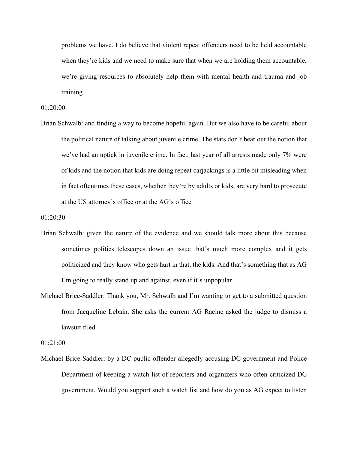problems we have. I do believe that violent repeat offenders need to be held accountable when they're kids and we need to make sure that when we are holding them accountable, we're giving resources to absolutely help them with mental health and trauma and job training

01:20:00

Brian Schwalb: and finding a way to become hopeful again. But we also have to be careful about the political nature of talking about juvenile crime. The stats don't bear out the notion that we've had an uptick in juvenile crime. In fact, last year of all arrests made only 7% were of kids and the notion that kids are doing repeat carjackings is a little bit misleading when in fact oftentimes these cases, whether they're by adults or kids, are very hard to prosecute at the US attorney's office or at the AG's office

01:20:30

- Brian Schwalb: given the nature of the evidence and we should talk more about this because sometimes politics telescopes down an issue that's much more complex and it gets politicized and they know who gets hurt in that, the kids. And that's something that as AG I'm going to really stand up and against, even if it's unpopular.
- Michael Brice-Saddler: Thank you, Mr. Schwalb and I'm wanting to get to a submitted question from Jacqueline Lebain. She asks the current AG Racine asked the judge to dismiss a lawsuit filed

01:21:00

Michael Brice-Saddler: by a DC public offender allegedly accusing DC government and Police Department of keeping a watch list of reporters and organizers who often criticized DC government. Would you support such a watch list and how do you as AG expect to listen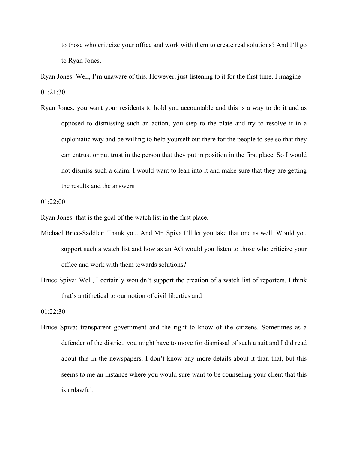to those who criticize your office and work with them to create real solutions? And I'll go to Ryan Jones.

Ryan Jones: Well, I'm unaware of this. However, just listening to it for the first time, I imagine 01:21:30

Ryan Jones: you want your residents to hold you accountable and this is a way to do it and as opposed to dismissing such an action, you step to the plate and try to resolve it in a diplomatic way and be willing to help yourself out there for the people to see so that they can entrust or put trust in the person that they put in position in the first place. So I would not dismiss such a claim. I would want to lean into it and make sure that they are getting the results and the answers

01:22:00

Ryan Jones: that is the goal of the watch list in the first place.

- Michael Brice-Saddler: Thank you. And Mr. Spiva I'll let you take that one as well. Would you support such a watch list and how as an AG would you listen to those who criticize your office and work with them towards solutions?
- Bruce Spiva: Well, I certainly wouldn't support the creation of a watch list of reporters. I think that's antithetical to our notion of civil liberties and

01:22:30

Bruce Spiva: transparent government and the right to know of the citizens. Sometimes as a defender of the district, you might have to move for dismissal of such a suit and I did read about this in the newspapers. I don't know any more details about it than that, but this seems to me an instance where you would sure want to be counseling your client that this is unlawful,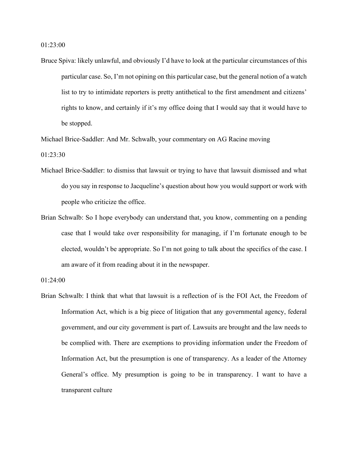01:23:00

Bruce Spiva: likely unlawful, and obviously I'd have to look at the particular circumstances of this particular case. So, I'm not opining on this particular case, but the general notion of a watch list to try to intimidate reporters is pretty antithetical to the first amendment and citizens' rights to know, and certainly if it's my office doing that I would say that it would have to be stopped.

Michael Brice-Saddler: And Mr. Schwalb, your commentary on AG Racine moving

 $01:23:30$ 

- Michael Brice-Saddler: to dismiss that lawsuit or trying to have that lawsuit dismissed and what do you say in response to Jacqueline's question about how you would support or work with people who criticize the office.
- Brian Schwalb: So I hope everybody can understand that, you know, commenting on a pending case that I would take over responsibility for managing, if I'm fortunate enough to be elected, wouldn't be appropriate. So I'm not going to talk about the specifics of the case. I am aware of it from reading about it in the newspaper.

01:24:00

Brian Schwalb: I think that what that lawsuit is a reflection of is the FOI Act, the Freedom of Information Act, which is a big piece of litigation that any governmental agency, federal government, and our city government is part of. Lawsuits are brought and the law needs to be complied with. There are exemptions to providing information under the Freedom of Information Act, but the presumption is one of transparency. As a leader of the Attorney General's office. My presumption is going to be in transparency. I want to have a transparent culture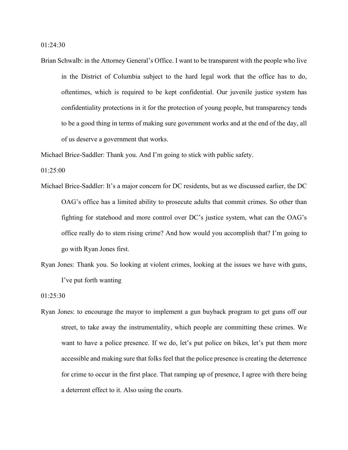01:24:30

Brian Schwalb: in the Attorney General's Office. I want to be transparent with the people who live in the District of Columbia subject to the hard legal work that the office has to do, oftentimes, which is required to be kept confidential. Our juvenile justice system has confidentiality protections in it for the protection of young people, but transparency tends to be a good thing in terms of making sure government works and at the end of the day, all of us deserve a government that works.

Michael Brice-Saddler: Thank you. And I'm going to stick with public safety.

01:25:00

- Michael Brice-Saddler: It's a major concern for DC residents, but as we discussed earlier, the DC OAG's office has a limited ability to prosecute adults that commit crimes. So other than fighting for statehood and more control over DC's justice system, what can the OAG's office really do to stem rising crime? And how would you accomplish that? I'm going to go with Ryan Jones first.
- Ryan Jones: Thank you. So looking at violent crimes, looking at the issues we have with guns, I've put forth wanting

01:25:30

Ryan Jones: to encourage the mayor to implement a gun buyback program to get guns off our street, to take away the instrumentality, which people are committing these crimes. We want to have a police presence. If we do, let's put police on bikes, let's put them more accessible and making sure that folks feel that the police presence is creating the deterrence for crime to occur in the first place. That ramping up of presence, I agree with there being a deterrent effect to it. Also using the courts.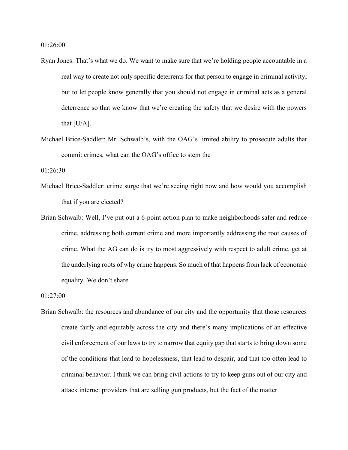01:26:00

- Ryan Jones: That's what we do. We want to make sure that we're holding people accountable in a real way to create not only specific deterrents for that person to engage in criminal activity, but to let people know generally that you should not engage in criminal acts as a general deterrence so that we know that we're creating the safety that we desire with the powers that [U/A].
- Michael Brice-Saddler: Mr. Schwalb's, with the OAG's limited ability to prosecute adults that commit crimes, what can the OAG's office to stem the

01:26:30

- Michael Brice-Saddler: crime surge that we're seeing right now and how would you accomplish that if you are elected?
- Brian Schwalb: Well, I've put out a 6-point action plan to make neighborhoods safer and reduce crime, addressing both current crime and more importantly addressing the root causes of crime. What the AG can do is try to most aggressively with respect to adult crime, get at the underlying roots of why crime happens. So much of that happens from lack of economic equality. We don't share

01:27:00

Brian Schwalb: the resources and abundance of our city and the opportunity that those resources create fairly and equitably across the city and there's many implications of an effective civil enforcement of our laws to try to narrow that equity gap that starts to bring down some of the conditions that lead to hopelessness, that lead to despair, and that too often lead to criminal behavior. I think we can bring civil actions to try to keep guns out of our city and attack internet providers that are selling gun products, but the fact of the matter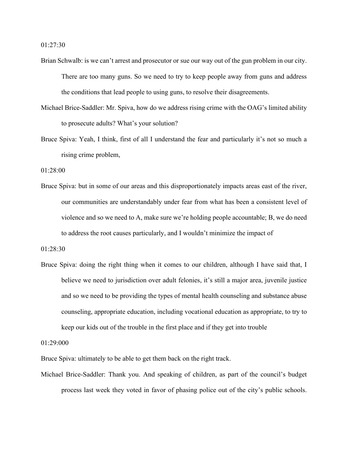01:27:30

- Brian Schwalb: is we can't arrest and prosecutor or sue our way out of the gun problem in our city. There are too many guns. So we need to try to keep people away from guns and address the conditions that lead people to using guns, to resolve their disagreements.
- Michael Brice-Saddler: Mr. Spiva, how do we address rising crime with the OAG's limited ability to prosecute adults? What's your solution?
- Bruce Spiva: Yeah, I think, first of all I understand the fear and particularly it's not so much a rising crime problem,

01:28:00

Bruce Spiva: but in some of our areas and this disproportionately impacts areas east of the river, our communities are understandably under fear from what has been a consistent level of violence and so we need to A, make sure we're holding people accountable; B, we do need to address the root causes particularly, and I wouldn't minimize the impact of

01:28:30

Bruce Spiva: doing the right thing when it comes to our children, although I have said that, I believe we need to jurisdiction over adult felonies, it's still a major area, juvenile justice and so we need to be providing the types of mental health counseling and substance abuse counseling, appropriate education, including vocational education as appropriate, to try to keep our kids out of the trouble in the first place and if they get into trouble

01:29:000

Bruce Spiva: ultimately to be able to get them back on the right track.

Michael Brice-Saddler: Thank you. And speaking of children, as part of the council's budget process last week they voted in favor of phasing police out of the city's public schools.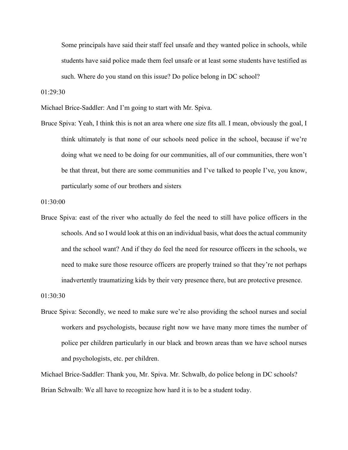Some principals have said their staff feel unsafe and they wanted police in schools, while students have said police made them feel unsafe or at least some students have testified as such. Where do you stand on this issue? Do police belong in DC school?

01:29:30

Michael Brice-Saddler: And I'm going to start with Mr. Spiva.

Bruce Spiva: Yeah, I think this is not an area where one size fits all. I mean, obviously the goal, I think ultimately is that none of our schools need police in the school, because if we're doing what we need to be doing for our communities, all of our communities, there won't be that threat, but there are some communities and I've talked to people I've, you know, particularly some of our brothers and sisters

01:30:00

Bruce Spiva: east of the river who actually do feel the need to still have police officers in the schools. And so I would look at this on an individual basis, what does the actual community and the school want? And if they do feel the need for resource officers in the schools, we need to make sure those resource officers are properly trained so that they're not perhaps inadvertently traumatizing kids by their very presence there, but are protective presence.

01:30:30

Bruce Spiva: Secondly, we need to make sure we're also providing the school nurses and social workers and psychologists, because right now we have many more times the number of police per children particularly in our black and brown areas than we have school nurses and psychologists, etc. per children.

Michael Brice-Saddler: Thank you, Mr. Spiva. Mr. Schwalb, do police belong in DC schools? Brian Schwalb: We all have to recognize how hard it is to be a student today.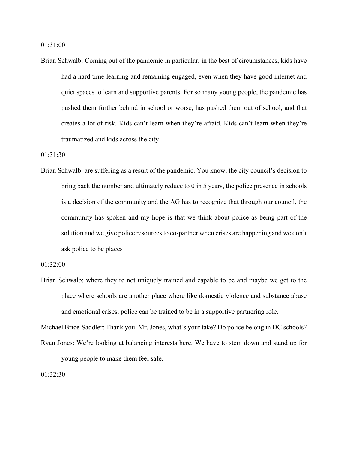01:31:00

Brian Schwalb: Coming out of the pandemic in particular, in the best of circumstances, kids have had a hard time learning and remaining engaged, even when they have good internet and quiet spaces to learn and supportive parents. For so many young people, the pandemic has pushed them further behind in school or worse, has pushed them out of school, and that creates a lot of risk. Kids can't learn when they're afraid. Kids can't learn when they're traumatized and kids across the city

01:31:30

Brian Schwalb: are suffering as a result of the pandemic. You know, the city council's decision to bring back the number and ultimately reduce to 0 in 5 years, the police presence in schools is a decision of the community and the AG has to recognize that through our council, the community has spoken and my hope is that we think about police as being part of the solution and we give police resources to co-partner when crises are happening and we don't ask police to be places

01:32:00

Brian Schwalb: where they're not uniquely trained and capable to be and maybe we get to the place where schools are another place where like domestic violence and substance abuse and emotional crises, police can be trained to be in a supportive partnering role.

Michael Brice-Saddler: Thank you. Mr. Jones, what's your take? Do police belong in DC schools? Ryan Jones: We're looking at balancing interests here. We have to stem down and stand up for young people to make them feel safe.

01:32:30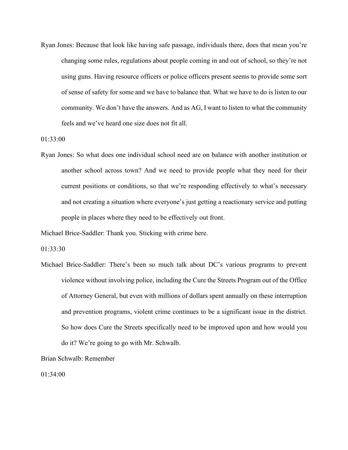Ryan Jones: Because that look like having safe passage, individuals there, does that mean you're changing some rules, regulations about people coming in and out of school, so they're not using guns. Having resource officers or police officers present seems to provide some sort of sense of safety for some and we have to balance that. What we have to do is listen to our community. We don't have the answers. And as AG, I want to listen to what the community feels and we've heard one size does not fit all.

01:33:00

Ryan Jones: So what does one individual school need are on balance with another institution or another school across town? And we need to provide people what they need for their current positions or conditions, so that we're responding effectively to what's necessary and not creating a situation where everyone's just getting a reactionary service and putting people in places where they need to be effectively out front.

Michael Brice-Saddler: Thank you. Sticking with crime here.

01:33:30

Michael Brice-Saddler: There's been so much talk about DC's various programs to prevent violence without involving police, including the Cure the Streets Program out of the Office of Attorney General, but even with millions of dollars spent annually on these interruption and prevention programs, violent crime continues to be a significant issue in the district. So how does Cure the Streets specifically need to be improved upon and how would you do it? We're going to go with Mr. Schwalb.

Brian Schwalb: Remember

01:34:00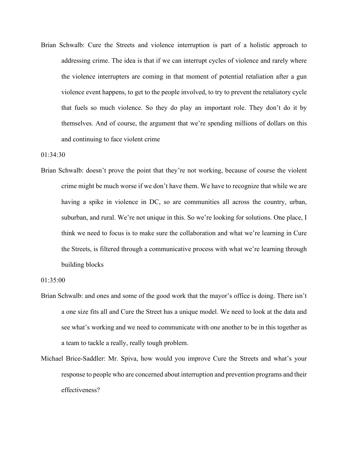Brian Schwalb: Cure the Streets and violence interruption is part of a holistic approach to addressing crime. The idea is that if we can interrupt cycles of violence and rarely where the violence interrupters are coming in that moment of potential retaliation after a gun violence event happens, to get to the people involved, to try to prevent the retaliatory cycle that fuels so much violence. So they do play an important role. They don't do it by themselves. And of course, the argument that we're spending millions of dollars on this and continuing to face violent crime

01:34:30

Brian Schwalb: doesn't prove the point that they're not working, because of course the violent crime might be much worse if we don't have them. We have to recognize that while we are having a spike in violence in DC, so are communities all across the country, urban, suburban, and rural. We're not unique in this. So we're looking for solutions. One place, I think we need to focus is to make sure the collaboration and what we're learning in Cure the Streets, is filtered through a communicative process with what we're learning through building blocks

01:35:00

- Brian Schwalb: and ones and some of the good work that the mayor's office is doing. There isn't a one size fits all and Cure the Street has a unique model. We need to look at the data and see what's working and we need to communicate with one another to be in this together as a team to tackle a really, really tough problem.
- Michael Brice-Saddler: Mr. Spiva, how would you improve Cure the Streets and what's your response to people who are concerned about interruption and prevention programs and their effectiveness?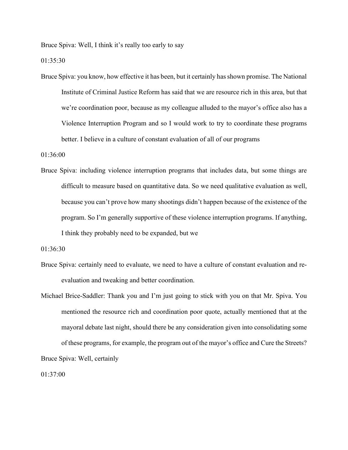Bruce Spiva: Well, I think it's really too early to say

01:35:30

Bruce Spiva: you know, how effective it has been, but it certainly has shown promise. The National Institute of Criminal Justice Reform has said that we are resource rich in this area, but that we're coordination poor, because as my colleague alluded to the mayor's office also has a Violence Interruption Program and so I would work to try to coordinate these programs better. I believe in a culture of constant evaluation of all of our programs

01:36:00

Bruce Spiva: including violence interruption programs that includes data, but some things are difficult to measure based on quantitative data. So we need qualitative evaluation as well, because you can't prove how many shootings didn't happen because of the existence of the program. So I'm generally supportive of these violence interruption programs. If anything, I think they probably need to be expanded, but we

01:36:30

- Bruce Spiva: certainly need to evaluate, we need to have a culture of constant evaluation and reevaluation and tweaking and better coordination.
- Michael Brice-Saddler: Thank you and I'm just going to stick with you on that Mr. Spiva. You mentioned the resource rich and coordination poor quote, actually mentioned that at the mayoral debate last night, should there be any consideration given into consolidating some of these programs, for example, the program out of the mayor's office and Cure the Streets? Bruce Spiva: Well, certainly

01:37:00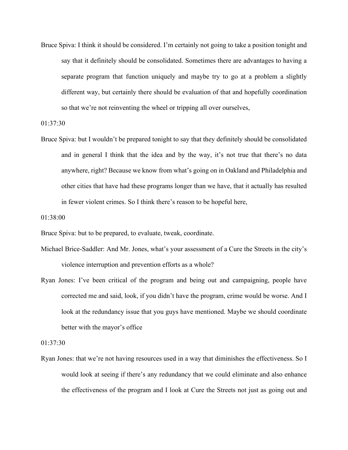Bruce Spiva: I think it should be considered. I'm certainly not going to take a position tonight and say that it definitely should be consolidated. Sometimes there are advantages to having a separate program that function uniquely and maybe try to go at a problem a slightly different way, but certainly there should be evaluation of that and hopefully coordination so that we're not reinventing the wheel or tripping all over ourselves,

01:37:30

Bruce Spiva: but I wouldn't be prepared tonight to say that they definitely should be consolidated and in general I think that the idea and by the way, it's not true that there's no data anywhere, right? Because we know from what's going on in Oakland and Philadelphia and other cities that have had these programs longer than we have, that it actually has resulted in fewer violent crimes. So I think there's reason to be hopeful here,

01:38:00

Bruce Spiva: but to be prepared, to evaluate, tweak, coordinate.

- Michael Brice-Saddler: And Mr. Jones, what's your assessment of a Cure the Streets in the city's violence interruption and prevention efforts as a whole?
- Ryan Jones: I've been critical of the program and being out and campaigning, people have corrected me and said, look, if you didn't have the program, crime would be worse. And I look at the redundancy issue that you guys have mentioned. Maybe we should coordinate better with the mayor's office

01:37:30

Ryan Jones: that we're not having resources used in a way that diminishes the effectiveness. So I would look at seeing if there's any redundancy that we could eliminate and also enhance the effectiveness of the program and I look at Cure the Streets not just as going out and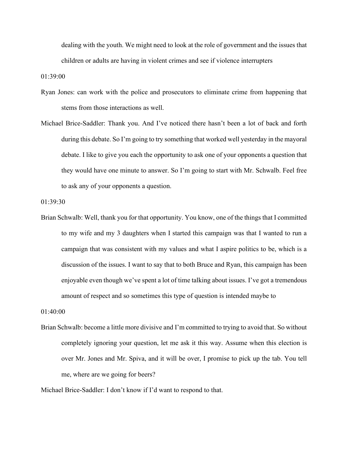dealing with the youth. We might need to look at the role of government and the issues that children or adults are having in violent crimes and see if violence interrupters

01:39:00

- Ryan Jones: can work with the police and prosecutors to eliminate crime from happening that stems from those interactions as well.
- Michael Brice-Saddler: Thank you. And I've noticed there hasn't been a lot of back and forth during this debate. So I'm going to try something that worked well yesterday in the mayoral debate. I like to give you each the opportunity to ask one of your opponents a question that they would have one minute to answer. So I'm going to start with Mr. Schwalb. Feel free to ask any of your opponents a question.

01:39:30

Brian Schwalb: Well, thank you for that opportunity. You know, one of the things that I committed to my wife and my 3 daughters when I started this campaign was that I wanted to run a campaign that was consistent with my values and what I aspire politics to be, which is a discussion of the issues. I want to say that to both Bruce and Ryan, this campaign has been enjoyable even though we've spent a lot of time talking about issues. I've got a tremendous amount of respect and so sometimes this type of question is intended maybe to

01:40:00

Brian Schwalb: become a little more divisive and I'm committed to trying to avoid that. So without completely ignoring your question, let me ask it this way. Assume when this election is over Mr. Jones and Mr. Spiva, and it will be over, I promise to pick up the tab. You tell me, where are we going for beers?

Michael Brice-Saddler: I don't know if I'd want to respond to that.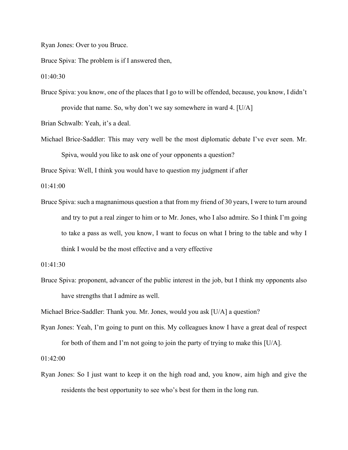Ryan Jones: Over to you Bruce.

Bruce Spiva: The problem is if I answered then,

01:40:30

Bruce Spiva: you know, one of the places that I go to will be offended, because, you know, I didn't provide that name. So, why don't we say somewhere in ward 4. [U/A]

Brian Schwalb: Yeah, it's a deal.

Michael Brice-Saddler: This may very well be the most diplomatic debate I've ever seen. Mr. Spiva, would you like to ask one of your opponents a question?

Bruce Spiva: Well, I think you would have to question my judgment if after

01:41:00

Bruce Spiva: such a magnanimous question a that from my friend of 30 years, I were to turn around and try to put a real zinger to him or to Mr. Jones, who I also admire. So I think I'm going to take a pass as well, you know, I want to focus on what I bring to the table and why I think I would be the most effective and a very effective

Bruce Spiva: proponent, advancer of the public interest in the job, but I think my opponents also have strengths that I admire as well.

Michael Brice-Saddler: Thank you. Mr. Jones, would you ask [U/A] a question?

Ryan Jones: Yeah, I'm going to punt on this. My colleagues know I have a great deal of respect for both of them and I'm not going to join the party of trying to make this [U/A].

01:42:00

Ryan Jones: So I just want to keep it on the high road and, you know, aim high and give the residents the best opportunity to see who's best for them in the long run.

<sup>01:41:30</sup>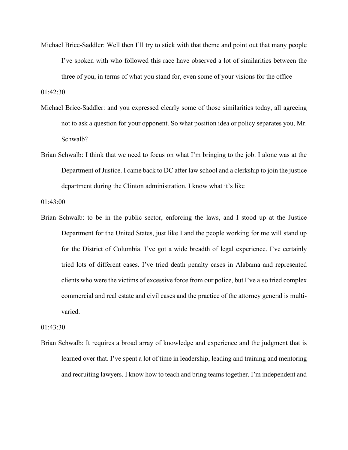Michael Brice-Saddler: Well then I'll try to stick with that theme and point out that many people I've spoken with who followed this race have observed a lot of similarities between the three of you, in terms of what you stand for, even some of your visions for the office

01:42:30

- Michael Brice-Saddler: and you expressed clearly some of those similarities today, all agreeing not to ask a question for your opponent. So what position idea or policy separates you, Mr. Schwalb?
- Brian Schwalb: I think that we need to focus on what I'm bringing to the job. I alone was at the Department of Justice. I came back to DC after law school and a clerkship to join the justice department during the Clinton administration. I know what it's like

01:43:00

Brian Schwalb: to be in the public sector, enforcing the laws, and I stood up at the Justice Department for the United States, just like I and the people working for me will stand up for the District of Columbia. I've got a wide breadth of legal experience. I've certainly tried lots of different cases. I've tried death penalty cases in Alabama and represented clients who were the victims of excessive force from our police, but I've also tried complex commercial and real estate and civil cases and the practice of the attorney general is multivaried.

01:43:30

Brian Schwalb: It requires a broad array of knowledge and experience and the judgment that is learned over that. I've spent a lot of time in leadership, leading and training and mentoring and recruiting lawyers. I know how to teach and bring teams together. I'm independent and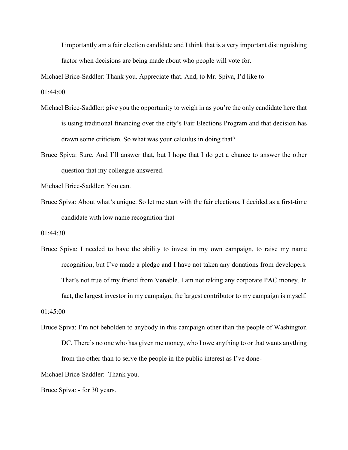I importantly am a fair election candidate and I think that is a very important distinguishing factor when decisions are being made about who people will vote for.

Michael Brice-Saddler: Thank you. Appreciate that. And, to Mr. Spiva, I'd like to

01:44:00

- Michael Brice-Saddler: give you the opportunity to weigh in as you're the only candidate here that is using traditional financing over the city's Fair Elections Program and that decision has drawn some criticism. So what was your calculus in doing that?
- Bruce Spiva: Sure. And I'll answer that, but I hope that I do get a chance to answer the other question that my colleague answered.

Michael Brice-Saddler: You can.

Bruce Spiva: About what's unique. So let me start with the fair elections. I decided as a first-time candidate with low name recognition that

01:44:30

Bruce Spiva: I needed to have the ability to invest in my own campaign, to raise my name recognition, but I've made a pledge and I have not taken any donations from developers. That's not true of my friend from Venable. I am not taking any corporate PAC money. In fact, the largest investor in my campaign, the largest contributor to my campaign is myself.

01:45:00

Bruce Spiva: I'm not beholden to anybody in this campaign other than the people of Washington DC. There's no one who has given me money, who I owe anything to or that wants anything from the other than to serve the people in the public interest as I've done-

Michael Brice-Saddler: Thank you.

Bruce Spiva: - for 30 years.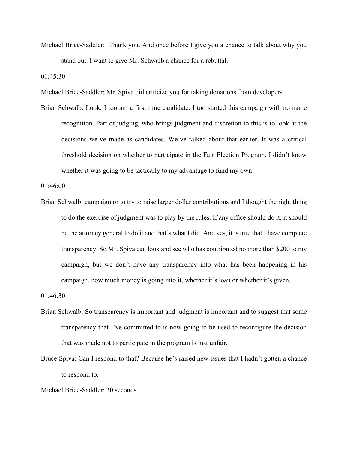Michael Brice-Saddler: Thank you. And once before I give you a chance to talk about why you stand out. I want to give Mr. Schwalb a chance for a rebuttal.

01:45:30

Michael Brice-Saddler: Mr. Spiva did criticize you for taking donations from developers.

Brian Schwalb: Look, I too am a first time candidate. I too started this campaign with no name recognition. Part of judging, who brings judgment and discretion to this is to look at the decisions we've made as candidates. We've talked about that earlier. It was a critical threshold decision on whether to participate in the Fair Election Program. I didn't know whether it was going to be tactically to my advantage to fund my own

01:46:00

Brian Schwalb: campaign or to try to raise larger dollar contributions and I thought the right thing to do the exercise of judgment was to play by the rules. If any office should do it, it should be the attorney general to do it and that's what I did. And yes, it is true that I have complete transparency. So Mr. Spiva can look and see who has contributed no more than \$200 to my campaign, but we don't have any transparency into what has been happening in his campaign, how much money is going into it, whether it's loan or whether it's given.

01:46:30

- Brian Schwalb: So transparency is important and judgment is important and to suggest that some transparency that I've committed to is now going to be used to reconfigure the decision that was made not to participate in the program is just unfair.
- Bruce Spiva: Can I respond to that? Because he's raised new issues that I hadn't gotten a chance to respond to.

```
Michael Brice-Saddler: 30 seconds.
```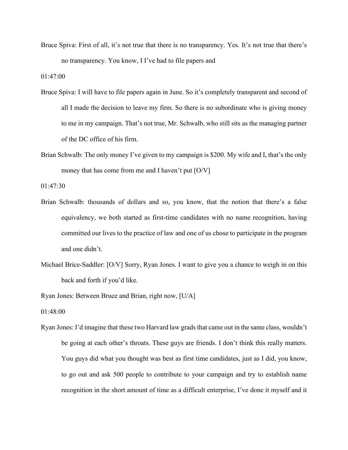Bruce Spiva: First of all, it's not true that there is no transparency. Yes. It's not true that there's no transparency. You know, I I've had to file papers and

01:47:00

- Bruce Spiva: I will have to file papers again in June. So it's completely transparent and second of all I made the decision to leave my firm. So there is no subordinate who is giving money to me in my campaign. That's not true, Mr. Schwalb, who still sits as the managing partner of the DC office of his firm.
- Brian Schwalb: The only money I've given to my campaign is \$200. My wife and I, that's the only money that has come from me and I haven't put [O/V]

01:47:30

- Brian Schwalb: thousands of dollars and so, you know, that the notion that there's a false equivalency, we both started as first-time candidates with no name recognition, having committed our lives to the practice of law and one of us chose to participate in the program and one didn't.
- Michael Brice-Saddler: [O/V] Sorry, Ryan Jones. I want to give you a chance to weigh in on this back and forth if you'd like.

Ryan Jones: Between Bruce and Brian, right now, [U/A]

01:48:00

Ryan Jones: I'd imagine that these two Harvard law grads that came out in the same class, wouldn't be going at each other's throats. These guys are friends. I don't think this really matters. You guys did what you thought was best as first time candidates, just as I did, you know, to go out and ask 500 people to contribute to your campaign and try to establish name recognition in the short amount of time as a difficult enterprise, I've done it myself and it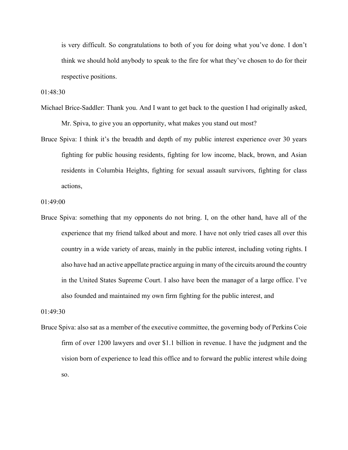is very difficult. So congratulations to both of you for doing what you've done. I don't think we should hold anybody to speak to the fire for what they've chosen to do for their respective positions.

01:48:30

- Michael Brice-Saddler: Thank you. And I want to get back to the question I had originally asked, Mr. Spiva, to give you an opportunity, what makes you stand out most?
- Bruce Spiva: I think it's the breadth and depth of my public interest experience over 30 years fighting for public housing residents, fighting for low income, black, brown, and Asian residents in Columbia Heights, fighting for sexual assault survivors, fighting for class actions,

01:49:00

Bruce Spiva: something that my opponents do not bring. I, on the other hand, have all of the experience that my friend talked about and more. I have not only tried cases all over this country in a wide variety of areas, mainly in the public interest, including voting rights. I also have had an active appellate practice arguing in many of the circuits around the country in the United States Supreme Court. I also have been the manager of a large office. I've also founded and maintained my own firm fighting for the public interest, and

01:49:30

Bruce Spiva: also sat as a member of the executive committee, the governing body of Perkins Coie firm of over 1200 lawyers and over \$1.1 billion in revenue. I have the judgment and the vision born of experience to lead this office and to forward the public interest while doing so.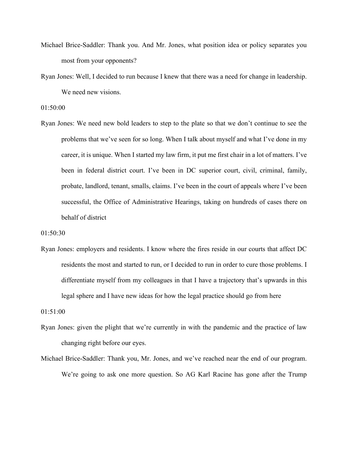- Michael Brice-Saddler: Thank you. And Mr. Jones, what position idea or policy separates you most from your opponents?
- Ryan Jones: Well, I decided to run because I knew that there was a need for change in leadership. We need new visions.

01:50:00

Ryan Jones: We need new bold leaders to step to the plate so that we don't continue to see the problems that we've seen for so long. When I talk about myself and what I've done in my career, it is unique. When I started my law firm, it put me first chair in a lot of matters. I've been in federal district court. I've been in DC superior court, civil, criminal, family, probate, landlord, tenant, smalls, claims. I've been in the court of appeals where I've been successful, the Office of Administrative Hearings, taking on hundreds of cases there on behalf of district

01:50:30

Ryan Jones: employers and residents. I know where the fires reside in our courts that affect DC residents the most and started to run, or I decided to run in order to cure those problems. I differentiate myself from my colleagues in that I have a trajectory that's upwards in this legal sphere and I have new ideas for how the legal practice should go from here

01:51:00

- Ryan Jones: given the plight that we're currently in with the pandemic and the practice of law changing right before our eyes.
- Michael Brice-Saddler: Thank you, Mr. Jones, and we've reached near the end of our program. We're going to ask one more question. So AG Karl Racine has gone after the Trump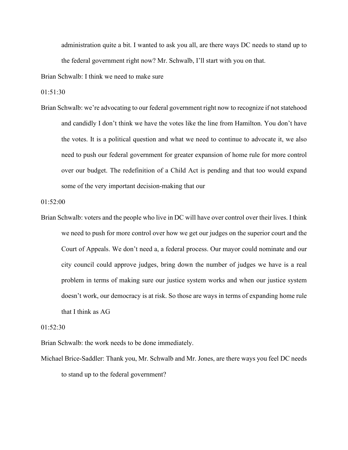administration quite a bit. I wanted to ask you all, are there ways DC needs to stand up to the federal government right now? Mr. Schwalb, I'll start with you on that.

Brian Schwalb: I think we need to make sure

 $01:51:30$ 

Brian Schwalb: we're advocating to our federal government right now to recognize if not statehood and candidly I don't think we have the votes like the line from Hamilton. You don't have the votes. It is a political question and what we need to continue to advocate it, we also need to push our federal government for greater expansion of home rule for more control over our budget. The redefinition of a Child Act is pending and that too would expand some of the very important decision-making that our

01:52:00

Brian Schwalb: voters and the people who live in DC will have over control over their lives. I think we need to push for more control over how we get our judges on the superior court and the Court of Appeals. We don't need a, a federal process. Our mayor could nominate and our city council could approve judges, bring down the number of judges we have is a real problem in terms of making sure our justice system works and when our justice system doesn't work, our democracy is at risk. So those are ways in terms of expanding home rule that I think as AG

 $01:52:30$ 

Brian Schwalb: the work needs to be done immediately.

Michael Brice-Saddler: Thank you, Mr. Schwalb and Mr. Jones, are there ways you feel DC needs to stand up to the federal government?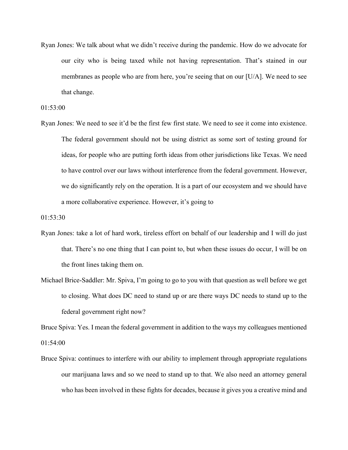Ryan Jones: We talk about what we didn't receive during the pandemic. How do we advocate for our city who is being taxed while not having representation. That's stained in our membranes as people who are from here, you're seeing that on our [U/A]. We need to see that change.

01:53:00

Ryan Jones: We need to see it'd be the first few first state. We need to see it come into existence. The federal government should not be using district as some sort of testing ground for ideas, for people who are putting forth ideas from other jurisdictions like Texas. We need to have control over our laws without interference from the federal government. However, we do significantly rely on the operation. It is a part of our ecosystem and we should have a more collaborative experience. However, it's going to

01:53:30

- Ryan Jones: take a lot of hard work, tireless effort on behalf of our leadership and I will do just that. There's no one thing that I can point to, but when these issues do occur, I will be on the front lines taking them on.
- Michael Brice-Saddler: Mr. Spiva, I'm going to go to you with that question as well before we get to closing. What does DC need to stand up or are there ways DC needs to stand up to the federal government right now?

Bruce Spiva: Yes. I mean the federal government in addition to the ways my colleagues mentioned 01:54:00

Bruce Spiva: continues to interfere with our ability to implement through appropriate regulations our marijuana laws and so we need to stand up to that. We also need an attorney general who has been involved in these fights for decades, because it gives you a creative mind and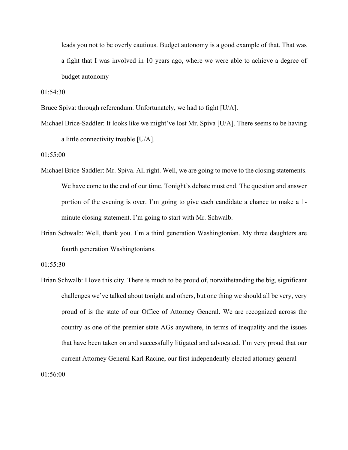leads you not to be overly cautious. Budget autonomy is a good example of that. That was a fight that I was involved in 10 years ago, where we were able to achieve a degree of budget autonomy

01:54:30

Bruce Spiva: through referendum. Unfortunately, we had to fight [U/A].

Michael Brice-Saddler: It looks like we might've lost Mr. Spiva [U/A]. There seems to be having a little connectivity trouble [U/A].

01:55:00

- Michael Brice-Saddler: Mr. Spiva. All right. Well, we are going to move to the closing statements. We have come to the end of our time. Tonight's debate must end. The question and answer portion of the evening is over. I'm going to give each candidate a chance to make a 1 minute closing statement. I'm going to start with Mr. Schwalb.
- Brian Schwalb: Well, thank you. I'm a third generation Washingtonian. My three daughters are fourth generation Washingtonians.

01:55:30

Brian Schwalb: I love this city. There is much to be proud of, notwithstanding the big, significant challenges we've talked about tonight and others, but one thing we should all be very, very proud of is the state of our Office of Attorney General. We are recognized across the country as one of the premier state AGs anywhere, in terms of inequality and the issues that have been taken on and successfully litigated and advocated. I'm very proud that our current Attorney General Karl Racine, our first independently elected attorney general

01:56:00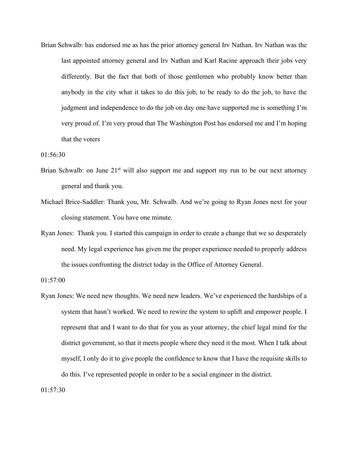Brian Schwalb: has endorsed me as has the prior attorney general Irv Nathan. Irv Nathan was the last appointed attorney general and Irv Nathan and Karl Racine approach their jobs very differently. But the fact that both of those gentlemen who probably know better than anybody in the city what it takes to do this job, to be ready to do the job, to have the judgment and independence to do the job on day one have supported me is something I'm very proud of. I'm very proud that The Washington Post has endorsed me and I'm hoping that the voters

01:56:30

- Brian Schwalb: on June  $21<sup>st</sup>$  will also support me and support my run to be our next attorney general and thank you.
- Michael Brice-Saddler: Thank you, Mr. Schwalb. And we're going to Ryan Jones next for your closing statement. You have one minute.
- Ryan Jones: Thank you. I started this campaign in order to create a change that we so desperately need. My legal experience has given me the proper experience needed to properly address the issues confronting the district today in the Office of Attorney General.

01:57:00

Ryan Jones: We need new thoughts. We need new leaders. We've experienced the hardships of a system that hasn't worked. We need to rewire the system to uplift and empower people. I represent that and I want to do that for you as your attorney, the chief legal mind for the district government, so that it meets people where they need it the most. When I talk about myself, I only do it to give people the confidence to know that I have the requisite skills to do this. I've represented people in order to be a social engineer in the district.

01:57:30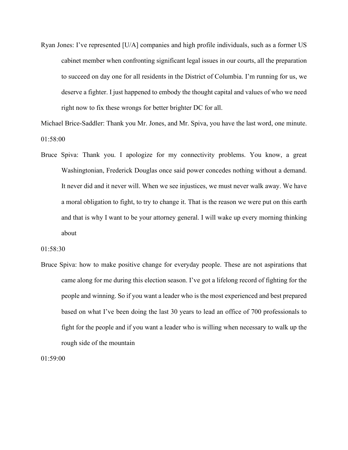Ryan Jones: I've represented [U/A] companies and high profile individuals, such as a former US cabinet member when confronting significant legal issues in our courts, all the preparation to succeed on day one for all residents in the District of Columbia. I'm running for us, we deserve a fighter. I just happened to embody the thought capital and values of who we need right now to fix these wrongs for better brighter DC for all.

Michael Brice-Saddler: Thank you Mr. Jones, and Mr. Spiva, you have the last word, one minute. 01:58:00

Bruce Spiva: Thank you. I apologize for my connectivity problems. You know, a great Washingtonian, Frederick Douglas once said power concedes nothing without a demand. It never did and it never will. When we see injustices, we must never walk away. We have a moral obligation to fight, to try to change it. That is the reason we were put on this earth and that is why I want to be your attorney general. I will wake up every morning thinking about

## 01:58:30

Bruce Spiva: how to make positive change for everyday people. These are not aspirations that came along for me during this election season. I've got a lifelong record of fighting for the people and winning. So if you want a leader who is the most experienced and best prepared based on what I've been doing the last 30 years to lead an office of 700 professionals to fight for the people and if you want a leader who is willing when necessary to walk up the rough side of the mountain

01:59:00